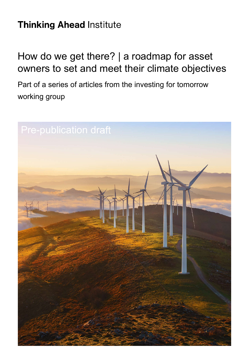# **Thinking Ahead Institute**

# How do we get there? | a roadmap for asset owners to set and meet their climate objectives

Part of a series of articles from the investing for tomorrow working group

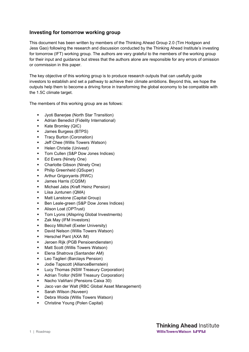## **Investing for tomorrow working group**

This document has been written by members of the Thinking Ahead Group 2.0 (Tim Hodgson and Jess Gao) following the research and discussion conducted by the Thinking Ahead Institute's investing for tomorrow (IFT) working group. The authors are very grateful to the members of the working group for their input and guidance but stress that the authors alone are responsible for any errors of omission or commission in this paper.

The key objective of this working group is to produce research outputs that can usefully guide investors to establish and set a pathway to achieve their climate ambitions. Beyond this, we hope the outputs help them to become a driving force in transforming the global economy to be compatible with the 1.5C climate target.

The members of this working group are as follows:

- **Jyoti Baneriee (North Star Transition)**
- **Adrian Benedict (Fidelity International)**
- Kate Bromley (QIC)
- James Burgess (BTPS)
- **Tracy Burton (Coronation)**
- **Jeff Chee (Willis Towers Watson)**
- Helen Christie (Univest)
- **Tom Cullen (S&P Dow Jones Indices)**
- Ed Evers (Ninety One)
- Charlotte Gibson (Ninety One)
- Philip Greenheld (QSuper)
- Arthur Grigoryants (RWC)
- **James Harris (CQSM)**
- **Michael Jabs (Kraft Heinz Pension)**
- Liisa Juntunen (QMA)
- Matt Lanstone (Capital Group)
- **Ben Leale-green (S&P Dow Jones Indices)**
- Alison Loat (OPTrust)
- **Tom Lyons (Allspring Global Investments)**
- **EXAMEL EXAM** Investors)
- Beccy Mitchell (Exeter University)
- **David Nelson (Willis Towers Watson)**
- **Herschel Pant (AXA IM)**
- **Jeroen Rijk (PGB Pensioendiensten)**
- Matt Scott (Willis Towers Watson)
- Elena Shatrova (Santander AM)
- **Leo Taglieri (Barclays Pension)**
- Jodie Tapscott (AllianceBernstein)
- Lucy Thomas (NSW Treasury Corporation)
- **Adrian Trollor (NSW Treasury Corporation)**
- Nacho Valiñani (Pensions Caixa 30)
- Jaco van der Walt (RBC Global Asset Management)
- **Sarah Wilson (Nuveen)**
- Debra Woida (Willis Towers Watson)
- Christine Young (Polen Capital)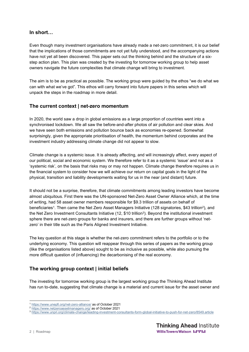### **In short…**

Even though many investment organisations have already made a net-zero commitment, it is our belief that the implications of those commitments are not yet fully understood, and the accompanying actions have not yet all been discovered. This paper sets out the thinking behind and the structure of a sixstep action plan. This plan was created by the investing for tomorrow working group to help asset owners navigate the future complexities that climate change will bring to investment.

The aim is to be as practical as possible. The working group were guided by the ethos "we do what we can with what we've got". This ethos will carry forward into future papers in this series which will unpack the steps in the roadmap in more detail.

## **The current context | net-zero momentum**

In 2020, the world saw a drop in global emissions as a large proportion of countries went into a synchronised lockdown. We all saw the before-and-after photos of air pollution and clear skies. And we have seen both emissions and pollution bounce back as economies re-opened. Somewhat surprisingly, given the appropriate prioritisation of health, the momentum behind corporates and the investment industry addressing climate change did not appear to slow.

Climate change is a systemic issue. It is already affecting, and will increasingly affect, every aspect of our political, social and economic system. We therefore refer to it as a systemic 'issue' and not as a 'systemic risk', on the basis that risks may or may not happen. Climate change therefore requires us in the financial system to consider how we will achieve our return on capital goals in the light of the physical, transition and liability developments waiting for us in the near (and distant) future.

It should not be a surprise, therefore, that climate commitments among leading investors have become almost ubiquitous. First there was the UN-sponsored Net-Zero Asset Owner Alliance which, at the time of writing, had 58 asset owner members responsible for \$9.3 trillion of assets on behalf of beneficiaries<sup>1</sup>. Then came the Net Zero Asset Managers Initiative (128 signatories, \$43 trillion<sup>2</sup>), and the Net Zero Investment Consultants Initiative (12, \$10 trillion<sup>3</sup>). Beyond the institutional investment sphere there are net-zero groups for banks and insurers, and there are further groups without 'netzero' in their title such as the Paris Aligned Investment Initiative.

The key question at this stage is whether the net-zero commitment refers to the portfolio or to the underlying economy. This question will reappear through this series of papers as the working group (like the organisations listed above) sought to be as inclusive as possible, while also pursuing the more difficult question of (influencing) the decarbonising of the real economy.

# **The working group context | initial beliefs**

The investing for tomorrow working group is the largest working group the Thinking Ahead Institute has run to-date, suggesting that climate change is a material and current issue for the asset owner and

<sup>1</sup> https://www.unepfi.org/net-zero-alliance/ as of October 2021

<sup>2</sup> https://www.netzeroassetmanagers.org/ as of October 2021

<sup>3</sup> https://www.unpri.org/climate-change/leading-investment-consultants-form-global-initiative-to-push-for-net-zero/8549.article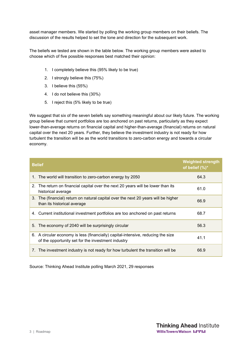asset manager members. We started by polling the working group members on their beliefs. The discussion of the results helped to set the tone and direction for the subsequent work.

The beliefs we tested are shown in the table below. The working group members were asked to choose which of five possible responses best matched their opinion:

- 1. I completely believe this (95% likely to be true)
- 2. I strongly believe this (75%)
- 3. I believe this (55%)
- 4. I do not believe this (30%)
- 5. I reject this (5% likely to be true)

We suggest that six of the seven beliefs say something meaningful about our likely future. The working group believe that current portfolios are too anchored on past returns, particularly as they expect lower-than-average returns on financial capital and higher-than-average (financial) returns on natural capital over the next 20 years. Further, they believe the investment industry is not ready for how turbulent the transition will be as the world transitions to zero-carbon energy and towards a circular economy.

| <b>Belief</b>                                                                                                                          | <b>Weighted strength</b><br>of belief (%)* |
|----------------------------------------------------------------------------------------------------------------------------------------|--------------------------------------------|
| 1. The world will transition to zero-carbon energy by 2050                                                                             | 64.3                                       |
| 2. The return on financial capital over the next 20 years will be lower than its<br>historical average                                 | 61.0                                       |
| 3. The (financial) return on natural capital over the next 20 years will be higher<br>than its historical average                      | 66.9                                       |
| 4. Current institutional investment portfolios are too anchored on past returns                                                        | 68.7                                       |
| The economy of 2040 will be surprisingly circular<br>5.                                                                                | 56.3                                       |
| 6. A circular economy is less (financially) capital-intensive, reducing the size<br>of the opportunity set for the investment industry | 41.1                                       |
| 7. The investment industry is not ready for how turbulent the transition will be                                                       | 66.9                                       |

Source: Thinking Ahead Institute polling March 2021, 29 responses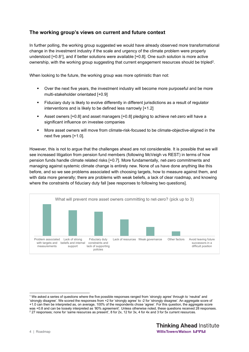## **The working group's views on current and future context**

In further polling, the working group suggested we would have already observed more transformational change in the investment industry if the scale and urgency of the climate problem were properly understood [+0.81], and if better solutions were available [+0.8]. One such solution is more active ownership, with the working group suggesting that current engagement resources should be tripled<sup>2</sup>.

When looking to the future, the working group was more optimistic than not:

- Over the next five years, the investment industry will become more purposeful and be more multi-stakeholder orientated [+0.9]
- Fiduciary duty is likely to evolve differently in different jurisdictions as a result of regulator interventions and is likely to be defined less narrowly [+1.2]
- Asset owners [+0.8] and asset managers [+0.8] pledging to achieve net-zero will have a significant influence on investee companies
- More asset owners will move from climate-risk-focused to be climate-objective-aligned in the next five years [+1.0].

However, this is not to argue that the challenges ahead are not considerable. It is possible that we will see increased litigation from pension fund members (following McVeigh vs REST) in terms of how pension funds handle climate related risks [+0.7]. More fundamentally, net-zero commitments and managing against systemic climate change is entirely new. None of us have done anything like this before, and so we see problems associated with choosing targets, how to measure against them, and with data more generally; there are problems with weak beliefs, a lack of clear roadmap, and knowing where the constraints of fiduciary duty fall [see responses to following two questions].



<sup>1</sup> We asked a series of questions where the five possible responses ranged from 'strongly agree' through to 'neutral' and 'strongly disagree'. We scored the responses from +2 for 'strongly agree' to -2 for 'strongly disagree'. An aggregate score of +1.0 can then be interpreted as, on average, 100% of the respondents chose 'agree'. For this question, the aggregate score was +0.8 and can be loosely interpreted as '80% agreement'. Unless otherwise noted, these questions received 28 responses.  $2$  27 responses; none for 'same resources as present', 8 for 2x, 12 for 3x, 4 for 4x and 3 for 5x current resources.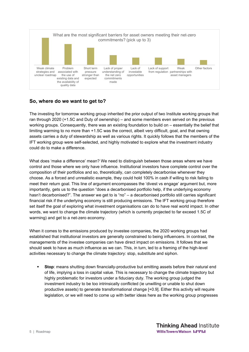

## **So, where do we want to get to?**

The investing for tomorrow working group inherited the prior output of two Institute working groups that ran through 2020 (+1.5C and Duty of ownership) – and some members even served on the previous working groups. Consequently, there was an existing foundation to build on – essentially the belief that limiting warming to no more than +1.5C was the correct, albeit very difficult, goal, and that owning assets carries a duty of stewardship as well as various rights. It quickly follows that the members of the IFT working group were self-selected, and highly motivated to explore what the investment industry could do to make a difference.

What does 'make a difference' mean? We need to distinguish between those areas where we have control and those where we only have influence. Institutional investors have complete control over the composition of their portfolios and so, theoretically, can completely decarbonise whenever they choose. As a forced and unrealistic example, they could hold 100% in cash if willing to risk failing to meet their return goal. This line of argument encompasses the 'divest vs engage' argument but, more importantly, gets us to the question "does a decarbonised portfolio help, if the underlying economy hasn't decarbonised?". The answer we get to is "no" – a decarbonised portfolio still carries significant financial risk if the underlying economy is still producing emissions. The IFT working group therefore set itself the goal of exploring what investment organisations can do to have real world impact. In other words, we want to change the climate trajectory (which is currently projected to far exceed 1.5C of warming) and get to a net-zero economy.

When it comes to the emissions produced by investee companies, the 2020 working groups had established that institutional investors are generally constrained to being influencers. In contrast, the managements of the investee companies can have direct impact on emissions. It follows that we should seek to have as much influence as we can. This, in turn, led to a framing of the high-level activities necessary to change the climate trajectory: stop, substitute and siphon.

**Stop**: means shutting down financially-productive but emitting assets before their natural end of life, implying a loss in capital value. This is necessary to change the climate trajectory but highly problematic for investors under a fiduciary duty. The working group judged the investment industry to be too intrinsically conflicted (ie unwilling or unable to shut down productive assets) to generate transformational change [+0.9]. Either this activity will require legislation, or we will need to come up with better ideas here as the working group progresses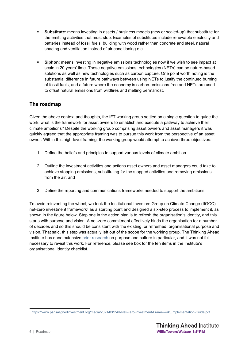- **Substitute**: means investing in assets / business models (new or scaled-up) that substitute for the emitting activities that must stop. Examples of substitutes include renewable electricity and batteries instead of fossil fuels, building with wood rather than concrete and steel, natural shading and ventilation instead of air conditioning etc
- **Siphon**: means investing in negative emissions technologies now if we wish to see impact at scale in 20 years' time. These negative emissions technologies (NETs) can be nature-based solutions as well as new technologies such as carbon capture. One point worth noting is the substantial difference in future pathways between using NETs to justify the continued burning of fossil fuels, and a future where the economy is carbon-emissions-free and NETs are used to offset natural emissions from wildfires and melting permafrost.

# **The roadmap**

Given the above context and thoughts, the IFT working group settled on a single question to guide the work: what is the framework for asset owners to establish and execute a pathway to achieve their climate ambitions? Despite the working group comprising asset owners and asset managers it was quickly agreed that the appropriate framing was to pursue this work from the perspective of an asset owner. Within this high-level framing, the working group would attempt to achieve three objectives:

- 1. Define the beliefs and principles to support various levels of climate ambition
- 2. Outline the investment activities and actions asset owners and asset managers could take to achieve stopping emissions, substituting for the stopped activities and removing emissions from the air, and
- 3. Define the reporting and communications frameworks needed to support the ambitions.

To avoid reinventing the wheel, we took the Institutional Investors Group on Climate Change (IIGCC) net-zero investment framework<sup>1</sup> as a starting point and designed a six-step process to implement it, as shown in the figure below. Step one in the action plan is to refresh the organisation's identity, and this starts with purpose and vision. A net-zero commitment effectively binds the organisation for a number of decades and so this should be consistent with the existing, or refreshed, organisational purpose and vision. That said, this step was actually left out of the scope for the working group. The Thinking Ahead Institute has done extensive prior research on purpose and culture in particular, and it was not felt necessary to revisit this work. For reference, please see box for the ten items in the Institute's organisational identity checklist.

<sup>1</sup> https://www.parisalignedinvestment.org/media/2021/03/PAII-Net-Zero-Investment-Framework\_Implementation-Guide.pdf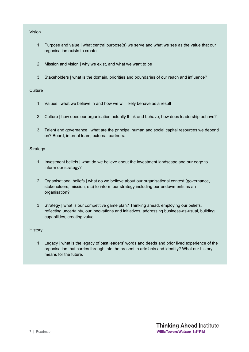#### Vision

- 1. Purpose and value | what central purpose(s) we serve and what we see as the value that our organisation exists to create
- 2. Mission and vision | why we exist, and what we want to be
- 3. Stakeholders | what is the domain, priorities and boundaries of our reach and influence?

#### **Culture**

- 1. Values | what we believe in and how we will likely behave as a result
- 2. Culture | how does our organisation actually think and behave, how does leadership behave?
- 3. Talent and governance | what are the principal human and social capital resources we depend on? Board, internal team, external partners.

#### Strategy

- 1. Investment beliefs | what do we believe about the investment landscape and our edge to inform our strategy?
- 2. Organisational beliefs | what do we believe about our organisational context (governance, stakeholders, mission, etc) to inform our strategy including our endowments as an organisation?
- 3. Strategy | what is our competitive game plan? Thinking ahead, employing our beliefs, reflecting uncertainty, our innovations and initiatives, addressing business-as-usual, building capabilities, creating value.

#### **History**

1. Legacy | what is the legacy of past leaders' words and deeds and prior lived experience of the organisation that carries through into the present in artefacts and identity? What our history means for the future.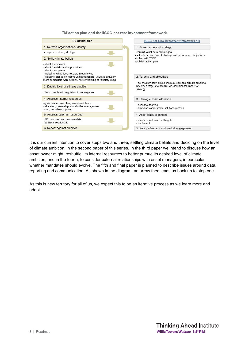TAI action plan and the IIGCC net zero investment framework

| <b>TAI action plan</b>                                                                                                                                                                                                                                                        | IIGCC net zero investment framework 1.0                                                                                           |  |
|-------------------------------------------------------------------------------------------------------------------------------------------------------------------------------------------------------------------------------------------------------------------------------|-----------------------------------------------------------------------------------------------------------------------------------|--|
| 1. Refresh organisation's identity                                                                                                                                                                                                                                            | 1. Governance and strategy                                                                                                        |  |
| - purpose, culture, strategy                                                                                                                                                                                                                                                  | - commit to net zero climate goal<br>- set beliefs, investment strategy and performance objectives<br>- in line with TCFD         |  |
| 2 Settle climate beliefs                                                                                                                                                                                                                                                      |                                                                                                                                   |  |
| - about the science.<br>- about the risks and opportunities<br>- about the system<br>- including 'what does net-zero mean to you?'<br>- including stance on just vs unjust transition (unjust is arguably<br>more compatible with current / narrow framing of fiduciary duty) | - publish action plan<br>2. Targets and objectives                                                                                |  |
| 3. Decide level of climate ambition<br>- from comply with regulation to net negative                                                                                                                                                                                          | - set medium term emissions reduction and climate solutions.<br>reference targets to inform SAA and monitor impact of<br>strategy |  |
| 4 Address internal resources                                                                                                                                                                                                                                                  | 3. Strategic asset allocation                                                                                                     |  |
| - governance, executive, investment team<br>- allocation, ownership, stakeholder management<br>- stop, substitute, siphon                                                                                                                                                     | - scenario analysis<br>- emissions and climate solutions metrics                                                                  |  |
| 5 Address external resources                                                                                                                                                                                                                                                  | 4. Asset class alignment                                                                                                          |  |
| - 3D mandate / net zero mandate<br>- strategic relationship                                                                                                                                                                                                                   | - assess assets and set targets<br>- implement                                                                                    |  |
| 6. Report against ambition                                                                                                                                                                                                                                                    | 5. Policy advocacy and market engagement                                                                                          |  |

It is our current intention to cover steps two and three, settling climate beliefs and deciding on the level of climate ambition, in the second paper of this series. In the third paper we intend to discuss how an asset owner might 'reshuffle' its internal resources to better pursue its desired level of climate ambition, and in the fourth, to consider external relationships with asset managers, in particular whether mandates should evolve. The fifth and final paper is planned to describe issues around data, reporting and communication. As shown in the diagram, an arrow then leads us back up to step one.

As this is new territory for all of us, we expect this to be an iterative process as we learn more and adapt.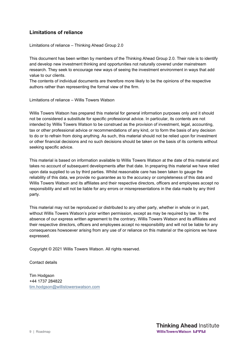# **Limitations of reliance**

Limitations of reliance – Thinking Ahead Group 2.0

This document has been written by members of the Thinking Ahead Group 2.0. Their role is to identify and develop new investment thinking and opportunities not naturally covered under mainstream research. They seek to encourage new ways of seeing the investment environment in ways that add value to our clients.

The contents of individual documents are therefore more likely to be the opinions of the respective authors rather than representing the formal view of the firm.

Limitations of reliance – Willis Towers Watson

Willis Towers Watson has prepared this material for general information purposes only and it should not be considered a substitute for specific professional advice. In particular, its contents are not intended by Willis Towers Watson to be construed as the provision of investment, legal, accounting, tax or other professional advice or recommendations of any kind, or to form the basis of any decision to do or to refrain from doing anything. As such, this material should not be relied upon for investment or other financial decisions and no such decisions should be taken on the basis of its contents without seeking specific advice.

This material is based on information available to Willis Towers Watson at the date of this material and takes no account of subsequent developments after that date. In preparing this material we have relied upon data supplied to us by third parties. Whilst reasonable care has been taken to gauge the reliability of this data, we provide no guarantee as to the accuracy or completeness of this data and Willis Towers Watson and its affiliates and their respective directors, officers and employees accept no responsibility and will not be liable for any errors or misrepresentations in the data made by any third party.

This material may not be reproduced or distributed to any other party, whether in whole or in part, without Willis Towers Watson's prior written permission, except as may be required by law. In the absence of our express written agreement to the contrary, Willis Towers Watson and its affiliates and their respective directors, officers and employees accept no responsibility and will not be liable for any consequences howsoever arising from any use of or reliance on this material or the opinions we have expressed.

Copyright © 2021 Willis Towers Watson. All rights reserved.

Contact details

Tim Hodgson +44 1737 284822 tim.hodgson@willistowerswatson.com